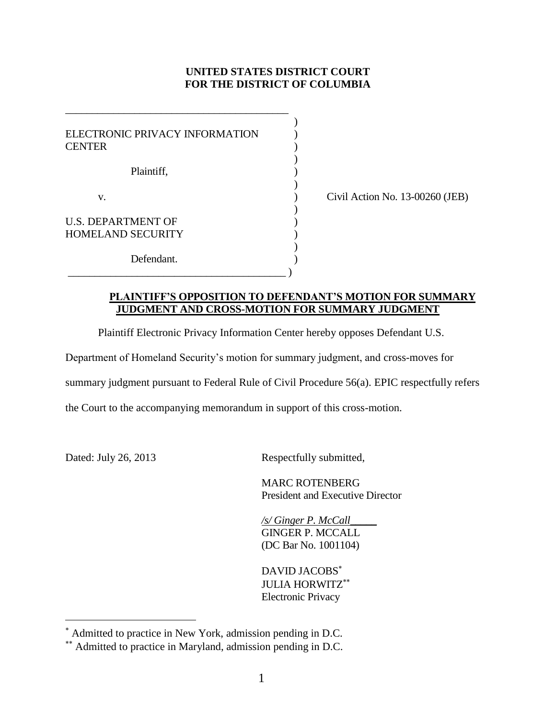# **UNITED STATES DISTRICT COURT FOR THE DISTRICT OF COLUMBIA**

| ELECTRONIC PRIVACY INFORMATION<br><b>CENTER</b>       |  |
|-------------------------------------------------------|--|
| Plaintiff,                                            |  |
| V.                                                    |  |
| <b>U.S. DEPARTMENT OF</b><br><b>HOMELAND SECURITY</b> |  |
| Defendant.                                            |  |

\_\_\_\_\_\_\_\_\_\_\_\_\_\_\_\_\_\_\_\_\_\_\_\_\_\_\_\_\_\_\_\_\_\_\_\_\_\_\_\_\_\_

 $\text{Civil Action No. } 13\text{-}00260 \text{ (JEB)}$ 

# **PLAINTIFF'S OPPOSITION TO DEFENDANT'S MOTION FOR SUMMARY JUDGMENT AND CROSS-MOTION FOR SUMMARY JUDGMENT**

Plaintiff Electronic Privacy Information Center hereby opposes Defendant U.S.

Department of Homeland Security's motion for summary judgment, and cross-moves for

summary judgment pursuant to Federal Rule of Civil Procedure 56(a). EPIC respectfully refers

the Court to the accompanying memorandum in support of this cross-motion.

l

Dated: July 26, 2013 Respectfully submitted,

MARC ROTENBERG President and Executive Director

*/s/ Ginger P. McCall*\_\_\_\_\_ GINGER P. MCCALL (DC Bar No. 1001104)

DAVID JACOBS JULIA HORWITZ Electronic Privacy

Admitted to practice in New York, admission pending in D.C.

Admitted to practice in Maryland, admission pending in D.C.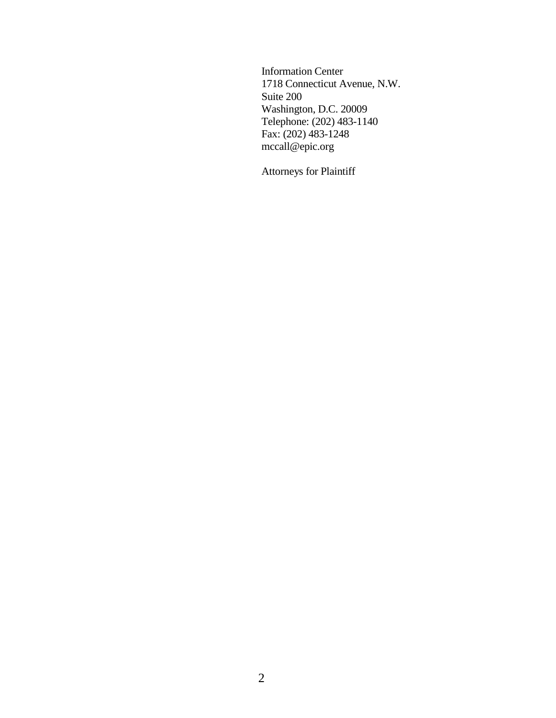Information Center 1718 Connecticut Avenue, N.W. Suite 200 Washington, D.C. 20009 Telephone: (202) 483-1140 Fax:  $(202)$  483-1248 mccall@epic.org

Attorneys for Plaintiff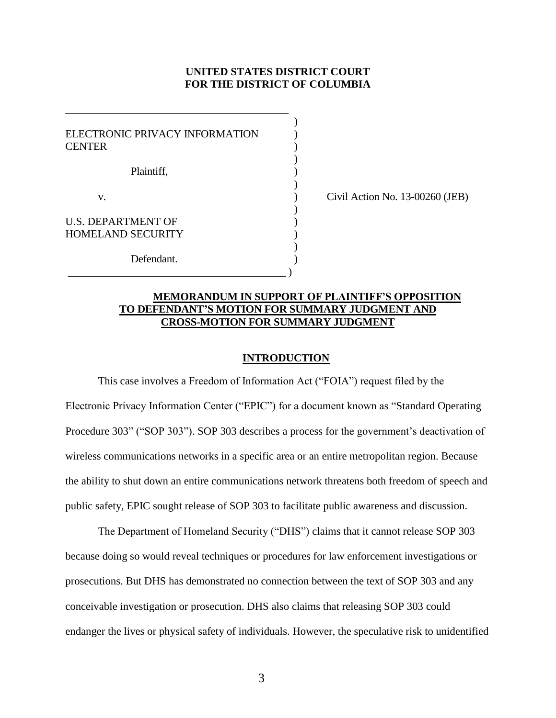### **UNITED STATES DISTRICT COURT FOR THE DISTRICT OF COLUMBIA**

)

| ELECTRONIC PRIVACY INFORMATION<br><b>CENTER</b>       |  |
|-------------------------------------------------------|--|
| Plaintiff,                                            |  |
| v.                                                    |  |
| <b>U.S. DEPARTMENT OF</b><br><b>HOMELAND SECURITY</b> |  |
| Defendant.                                            |  |

\_\_\_\_\_\_\_\_\_\_\_\_\_\_\_\_\_\_\_\_\_\_\_\_\_\_\_\_\_\_\_\_\_\_\_\_\_\_\_\_\_\_

 $\text{Civil Action No. } 13\text{-}00260 \text{ (JEB)}$ 

### **MEMORANDUM IN SUPPORT OF PLAINTIFF'S OPPOSITION TO DEFENDANT'S MOTION FOR SUMMARY JUDGMENT AND CROSS-MOTION FOR SUMMARY JUDGMENT**

#### **INTRODUCTION**

This case involves a Freedom of Information Act ("FOIA") request filed by the Electronic Privacy Information Center ("EPIC") for a document known as "Standard Operating Procedure 303" ("SOP 303"). SOP 303 describes a process for the government's deactivation of wireless communications networks in a specific area or an entire metropolitan region. Because the ability to shut down an entire communications network threatens both freedom of speech and public safety, EPIC sought release of SOP 303 to facilitate public awareness and discussion.

The Department of Homeland Security ("DHS") claims that it cannot release SOP 303 because doing so would reveal techniques or procedures for law enforcement investigations or prosecutions. But DHS has demonstrated no connection between the text of SOP 303 and any conceivable investigation or prosecution. DHS also claims that releasing SOP 303 could endanger the lives or physical safety of individuals. However, the speculative risk to unidentified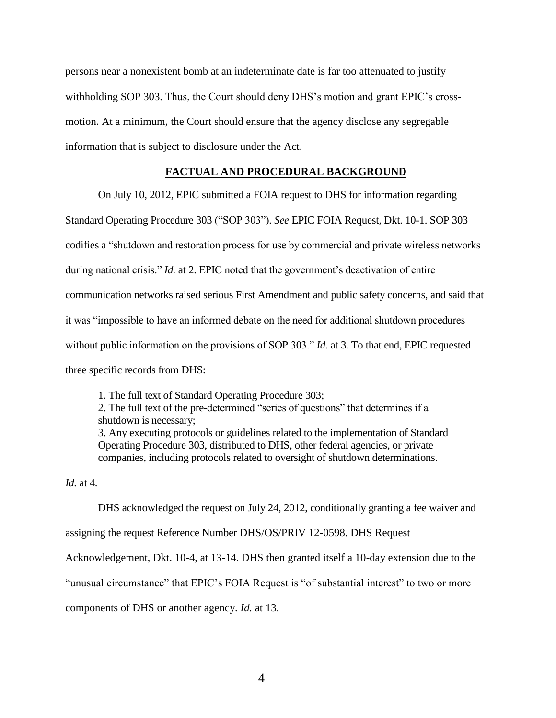persons near a nonexistent bomb at an indeterminate date is far too attenuated to justify withholding SOP 303. Thus, the Court should deny DHS's motion and grant EPIC's crossmotion. At a minimum, the Court should ensure that the agency disclose any segregable information that is subject to disclosure under the Act.

### **FACTUAL AND PROCEDURAL BACKGROUND**

On July 10, 2012, EPIC submitted a FOIA request to DHS for information regarding

Standard Operating Procedure 303 ("SOP 303"). *See* EPIC FOIA Request, Dkt. 10-1. SOP 303 codifies a "shutdown and restoration process for use by commercial and private wireless networks during national crisis." *Id.* at 2. EPIC noted that the government's deactivation of entire communication networks raised serious First Amendment and public safety concerns, and said that it was "impossible to have an informed debate on the need for additional shutdown procedures without public information on the provisions of SOP 303." *Id.* at 3. To that end, EPIC requested three specific records from DHS:

1. The full text of Standard Operating Procedure 303; 2. The full text of the pre-determined "series of questions" that determines if a shutdown is necessary; 3. Any executing protocols or guidelines related to the implementation of Standard Operating Procedure 303, distributed to DHS, other federal agencies, or private companies, including protocols related to oversight of shutdown determinations.

*Id.* at 4.

DHS acknowledged the request on July 24, 2012, conditionally granting a fee waiver and

assigning the request Reference Number DHS/OS/PRIV 12-0598. DHS Request

Acknowledgement, Dkt. 10-4, at 13-14. DHS then granted itself a 10-day extension due to the

"unusual circumstance" that EPIC's FOIA Request is "of substantial interest" to two or more

components of DHS or another agency. *Id.* at 13.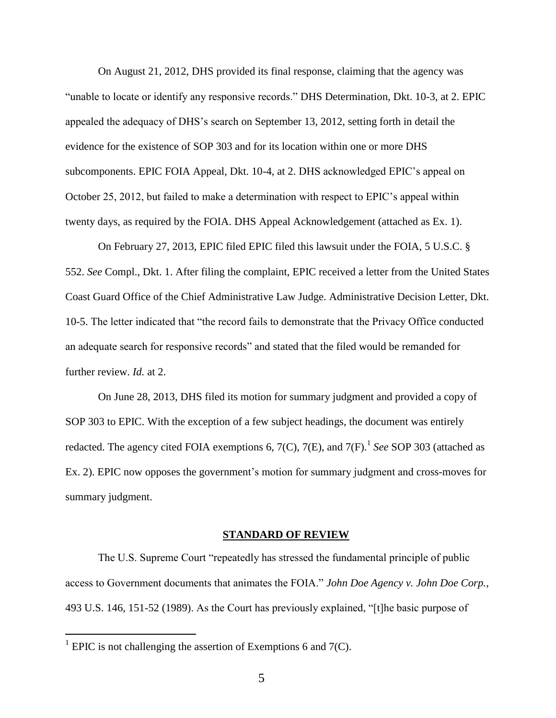On August 21, 2012, DHS provided its final response, claiming that the agency was "unable to locate or identify any responsive records." DHS Determination, Dkt. 10-3, at 2. EPIC appealed the adequacy of DHS's search on September 13, 2012, setting forth in detail the evidence for the existence of SOP 303 and for its location within one or more DHS subcomponents. EPIC FOIA Appeal, Dkt. 10-4, at 2. DHS acknowledged EPIC's appeal on October 25, 2012, but failed to make a determination with respect to EPIC's appeal within twenty days, as required by the FOIA. DHS Appeal Acknowledgement (attached as Ex. 1).

On February 27, 2013, EPIC filed EPIC filed this lawsuit under the FOIA, 5 U.S.C. § 552. *See* Compl., Dkt. 1. After filing the complaint, EPIC received a letter from the United States Coast Guard Office of the Chief Administrative Law Judge. Administrative Decision Letter, Dkt. 10-5. The letter indicated that "the record fails to demonstrate that the Privacy Office conducted an adequate search for responsive records" and stated that the filed would be remanded for further review. *Id.* at 2.

On June 28, 2013, DHS filed its motion for summary judgment and provided a copy of SOP 303 to EPIC. With the exception of a few subject headings, the document was entirely redacted. The agency cited FOIA exemptions 6, 7(C), 7(E), and 7(F). 1 *See* SOP 303 (attached as Ex. 2). EPIC now opposes the government's motion for summary judgment and cross-moves for summary judgment.

#### **STANDARD OF REVIEW**

The U.S. Supreme Court "repeatedly has stressed the fundamental principle of public access to Government documents that animates the FOIA." *John Doe Agency v. John Doe Corp.*, 493 U.S. 146, 151-52 (1989). As the Court has previously explained, "[t]he basic purpose of

 $\overline{a}$ 

<sup>&</sup>lt;sup>1</sup> EPIC is not challenging the assertion of Exemptions 6 and  $7(C)$ .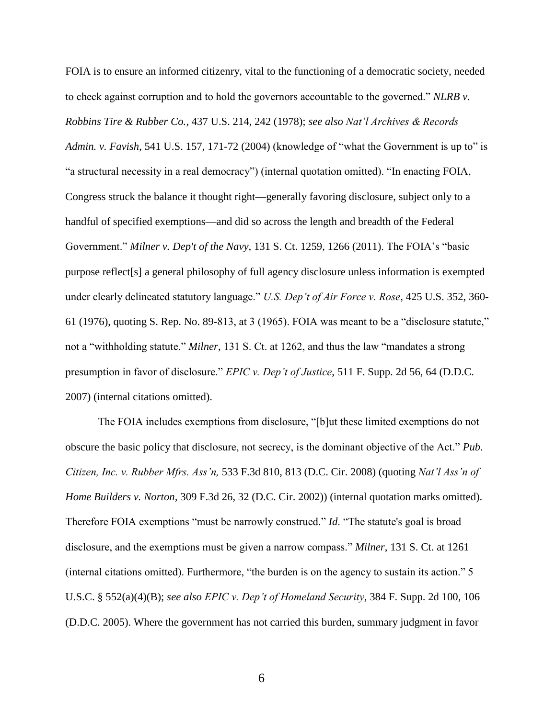FOIA is to ensure an informed citizenry, vital to the functioning of a democratic society, needed to check against corruption and to hold the governors accountable to the governed." *NLRB v. Robbins Tire & Rubber Co.*, 437 U.S. 214, 242 (1978); *see also Nat'l Archives & Records Admin. v. Favish*, 541 U.S. 157, 171-72 (2004) (knowledge of "what the Government is up to" is "a structural necessity in a real democracy") (internal quotation omitted). "In enacting FOIA, Congress struck the balance it thought right—generally favoring disclosure, subject only to a handful of specified exemptions—and did so across the length and breadth of the Federal Government." *Milner v. Dep't of the Navy*, 131 S. Ct. 1259, 1266 (2011). The FOIA's "basic purpose reflect[s] a general philosophy of full agency disclosure unless information is exempted under clearly delineated statutory language." *U.S. Dep't of Air Force v. Rose*, 425 U.S. 352, 360- 61 (1976), quoting S. Rep. No. 89-813, at 3 (1965). FOIA was meant to be a "disclosure statute," not a "withholding statute." *Milner*, 131 S. Ct. at 1262, and thus the law "mandates a strong presumption in favor of disclosure." *EPIC v. Dep't of Justice*, 511 F. Supp. 2d 56, 64 (D.D.C. 2007) (internal citations omitted).

The FOIA includes exemptions from disclosure, "[b]ut these limited exemptions do not obscure the basic policy that disclosure, not secrecy, is the dominant objective of the Act." *Pub. Citizen, Inc. v. Rubber Mfrs. Ass'n,* 533 F.3d 810, 813 (D.C. Cir. 2008) (quoting *Nat'l Ass'n of Home Builders v. Norton,* 309 F.3d 26, 32 (D.C. Cir. 2002)) (internal quotation marks omitted). Therefore FOIA exemptions "must be narrowly construed." *Id*. "The statute's goal is broad disclosure, and the exemptions must be given a narrow compass." *Milner*, 131 S. Ct. at 1261 (internal citations omitted). Furthermore, "the burden is on the agency to sustain its action." 5 U.S.C. § 552(a)(4)(B); *see also EPIC v. Dep't of Homeland Security*, 384 F. Supp. 2d 100, 106 (D.D.C. 2005). Where the government has not carried this burden, summary judgment in favor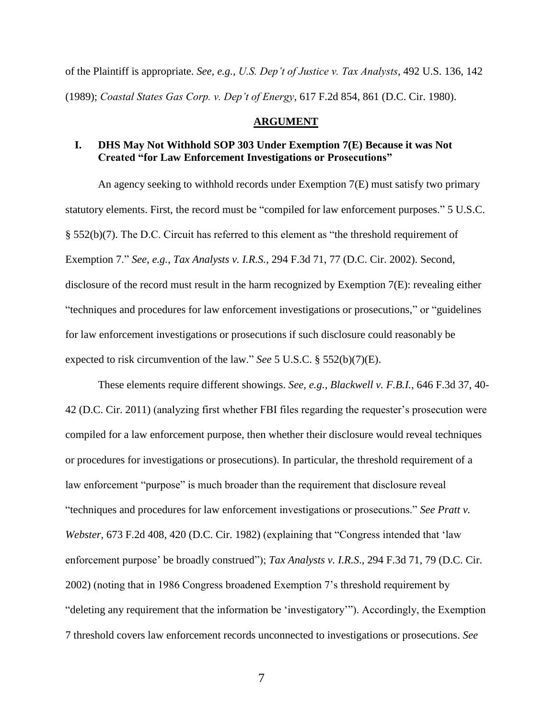of the Plaintiff is appropriate. *See, e.g.*, *U.S. Dep't of Justice v. Tax Analysts*, 492 U.S. 136, 142 (1989); *Coastal States Gas Corp. v. Dep't of Energy*, 617 F.2d 854, 861 (D.C. Cir. 1980).

#### **ARGUMENT**

## **I. DHS May Not Withhold SOP 303 Under Exemption 7(E) Because it was Not Created "for Law Enforcement Investigations or Prosecutions"**

An agency seeking to withhold records under Exemption 7(E) must satisfy two primary statutory elements. First, the record must be "compiled for law enforcement purposes." 5 U.S.C. § 552(b)(7). The D.C. Circuit has referred to this element as "the threshold requirement of Exemption 7." *See, e.g.*, *Tax Analysts v. I.R.S.*, 294 F.3d 71, 77 (D.C. Cir. 2002). Second, disclosure of the record must result in the harm recognized by Exemption 7(E): revealing either "techniques and procedures for law enforcement investigations or prosecutions," or "guidelines for law enforcement investigations or prosecutions if such disclosure could reasonably be expected to risk circumvention of the law." *See* 5 U.S.C. § 552(b)(7)(E).

These elements require different showings. *See, e.g.*, *Blackwell v. F.B.I.*, 646 F.3d 37, 40- 42 (D.C. Cir. 2011) (analyzing first whether FBI files regarding the requester's prosecution were compiled for a law enforcement purpose, then whether their disclosure would reveal techniques or procedures for investigations or prosecutions). In particular, the threshold requirement of a law enforcement "purpose" is much broader than the requirement that disclosure reveal "techniques and procedures for law enforcement investigations or prosecutions." *See Pratt v. Webster*, 673 F.2d 408, 420 (D.C. Cir. 1982) (explaining that "Congress intended that 'law enforcement purpose' be broadly construed"); *Tax Analysts v. I.R.S*., 294 F.3d 71, 79 (D.C. Cir. 2002) (noting that in 1986 Congress broadened Exemption 7's threshold requirement by "deleting any requirement that the information be 'investigatory'"). Accordingly, the Exemption 7 threshold covers law enforcement records unconnected to investigations or prosecutions. *See*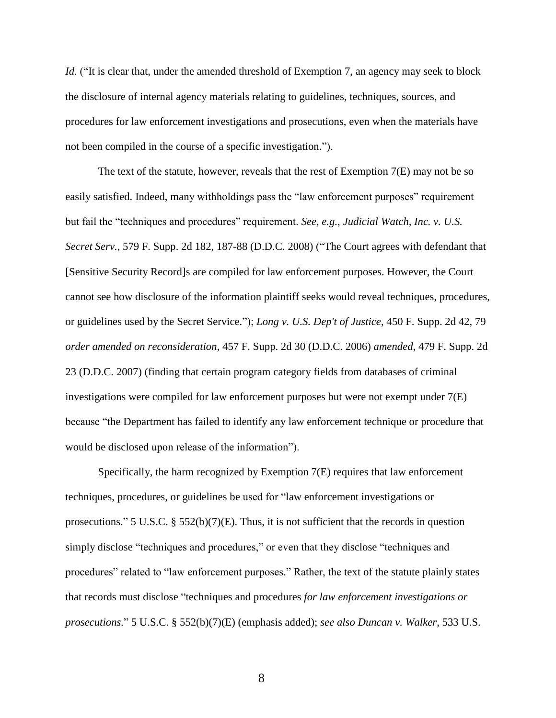*Id.* ("It is clear that, under the amended threshold of Exemption 7, an agency may seek to block the disclosure of internal agency materials relating to guidelines, techniques, sources, and procedures for law enforcement investigations and prosecutions, even when the materials have not been compiled in the course of a specific investigation.").

The text of the statute, however, reveals that the rest of Exemption 7(E) may not be so easily satisfied. Indeed, many withholdings pass the "law enforcement purposes" requirement but fail the "techniques and procedures" requirement. *See, e.g.*, *Judicial Watch, Inc. v. U.S. Secret Serv.*, 579 F. Supp. 2d 182, 187-88 (D.D.C. 2008) ("The Court agrees with defendant that [Sensitive Security Record]s are compiled for law enforcement purposes. However, the Court cannot see how disclosure of the information plaintiff seeks would reveal techniques, procedures, or guidelines used by the Secret Service."); *Long v. U.S. Dep't of Justice*, 450 F. Supp. 2d 42, 79 *order amended on reconsideration*, 457 F. Supp. 2d 30 (D.D.C. 2006) *amended*, 479 F. Supp. 2d 23 (D.D.C. 2007) (finding that certain program category fields from databases of criminal investigations were compiled for law enforcement purposes but were not exempt under  $7(E)$ because "the Department has failed to identify any law enforcement technique or procedure that would be disclosed upon release of the information").

Specifically, the harm recognized by Exemption  $7(E)$  requires that law enforcement techniques, procedures, or guidelines be used for "law enforcement investigations or prosecutions." 5 U.S.C. § 552(b)(7)(E). Thus, it is not sufficient that the records in question simply disclose "techniques and procedures," or even that they disclose "techniques and procedures" related to "law enforcement purposes." Rather, the text of the statute plainly states that records must disclose "techniques and procedures *for law enforcement investigations or prosecutions.*" 5 U.S.C. § 552(b)(7)(E) (emphasis added); *see also Duncan v. Walker*, 533 U.S.

8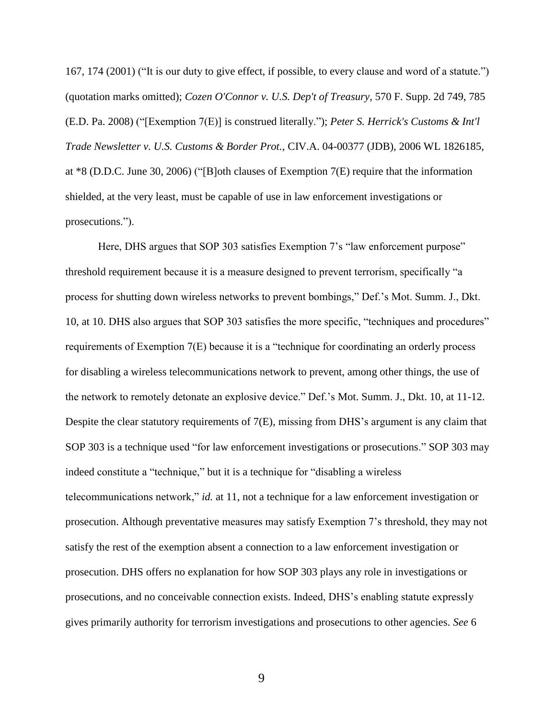167, 174 (2001) ("It is our duty to give effect, if possible, to every clause and word of a statute.") (quotation marks omitted); *Cozen O'Connor v. U.S. Dep't of Treasury*, 570 F. Supp. 2d 749, 785 (E.D. Pa. 2008) ("[Exemption 7(E)] is construed literally."); *Peter S. Herrick's Customs & Int'l Trade Newsletter v. U.S. Customs & Border Prot.*, CIV.A. 04-00377 (JDB), 2006 WL 1826185, at \*8 (D.D.C. June 30, 2006) ("[B]oth clauses of Exemption 7(E) require that the information shielded, at the very least, must be capable of use in law enforcement investigations or prosecutions.").

Here, DHS argues that SOP 303 satisfies Exemption 7's "law enforcement purpose" threshold requirement because it is a measure designed to prevent terrorism, specifically "a process for shutting down wireless networks to prevent bombings," Def.'s Mot. Summ. J., Dkt. 10, at 10. DHS also argues that SOP 303 satisfies the more specific, "techniques and procedures" requirements of Exemption 7(E) because it is a "technique for coordinating an orderly process for disabling a wireless telecommunications network to prevent, among other things, the use of the network to remotely detonate an explosive device." Def.'s Mot. Summ. J., Dkt. 10, at 11-12. Despite the clear statutory requirements of 7(E), missing from DHS's argument is any claim that SOP 303 is a technique used "for law enforcement investigations or prosecutions." SOP 303 may indeed constitute a "technique," but it is a technique for "disabling a wireless telecommunications network," *id.* at 11, not a technique for a law enforcement investigation or prosecution. Although preventative measures may satisfy Exemption 7's threshold, they may not satisfy the rest of the exemption absent a connection to a law enforcement investigation or prosecution. DHS offers no explanation for how SOP 303 plays any role in investigations or prosecutions, and no conceivable connection exists. Indeed, DHS's enabling statute expressly gives primarily authority for terrorism investigations and prosecutions to other agencies. *See* 6

9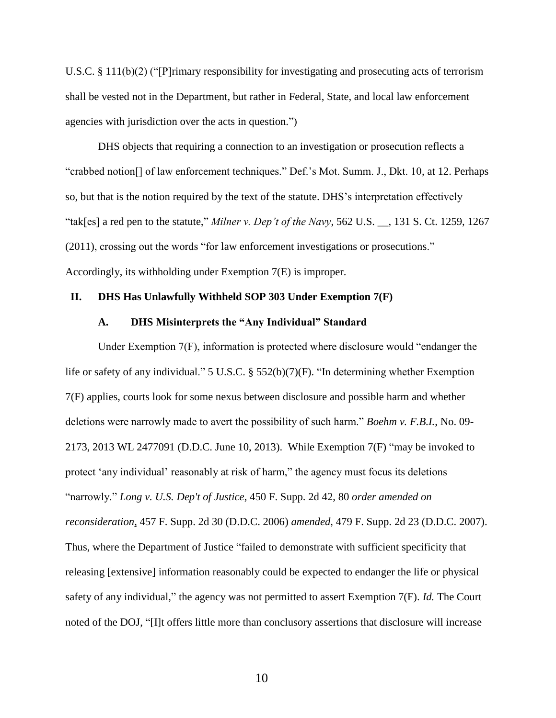U.S.C. § 111(b)(2) ("[P]rimary responsibility for investigating and prosecuting acts of terrorism shall be vested not in the Department, but rather in Federal, State, and local law enforcement agencies with jurisdiction over the acts in question.")

DHS objects that requiring a connection to an investigation or prosecution reflects a "crabbed notion[] of law enforcement techniques." Def.'s Mot. Summ. J., Dkt. 10, at 12. Perhaps so, but that is the notion required by the text of the statute. DHS's interpretation effectively "tak[es] a red pen to the statute," *Milner v. Dep't of the Navy*, 562 U.S. \_\_, 131 S. Ct. 1259, 1267 (2011), crossing out the words "for law enforcement investigations or prosecutions." Accordingly, its withholding under Exemption 7(E) is improper.

#### **II. DHS Has Unlawfully Withheld SOP 303 Under Exemption 7(F)**

#### **A. DHS Misinterprets the "Any Individual" Standard**

Under Exemption 7(F), information is protected where disclosure would "endanger the life or safety of any individual." 5 U.S.C. § 552(b)(7)(F). "In determining whether Exemption 7(F) applies, courts look for some nexus between disclosure and possible harm and whether deletions were narrowly made to avert the possibility of such harm." *Boehm v. F.B.I.*, No. 09- 2173, 2013 WL 2477091 (D.D.C. June 10, 2013). While Exemption 7(F) "may be invoked to protect 'any individual' reasonably at risk of harm," the agency must focus its deletions "narrowly." *Long v. U.S. Dep't of Justice*, 450 F. Supp. 2d 42, 80 *order amended on reconsideration*, 457 F. Supp. 2d 30 (D.D.C. 2006) *amended*, 479 F. Supp. 2d 23 (D.D.C. 2007). Thus, where the Department of Justice "failed to demonstrate with sufficient specificity that releasing [extensive] information reasonably could be expected to endanger the life or physical safety of any individual," the agency was not permitted to assert Exemption 7(F). *Id.* The Court noted of the DOJ, "[I]t offers little more than conclusory assertions that disclosure will increase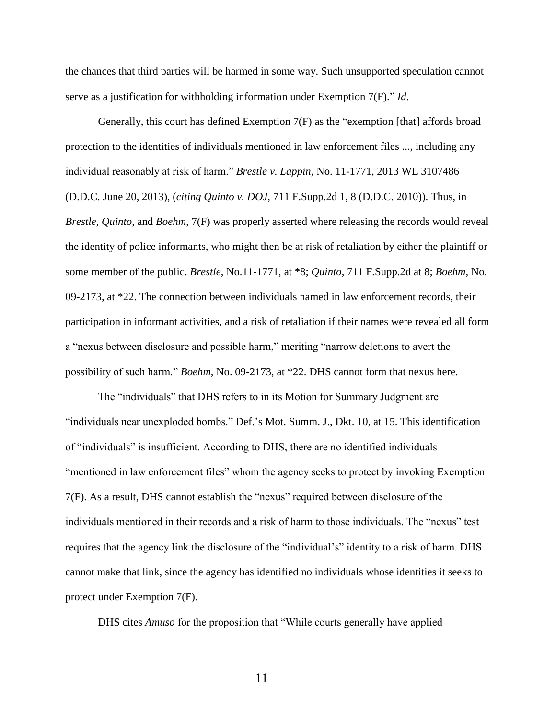the chances that third parties will be harmed in some way. Such unsupported speculation cannot serve as a justification for withholding information under Exemption 7(F)." *Id*.

Generally, this court has defined Exemption  $7(F)$  as the "exemption [that] affords broad protection to the identities of individuals mentioned in law enforcement files ..., including any individual reasonably at risk of harm." *Brestle v. Lappin*, No. 11-1771, 2013 WL 3107486 (D.D.C. June 20, 2013), (*citing Quinto v. DOJ,* 711 F.Supp.2d 1, 8 (D.D.C. 2010)). Thus, in *Brestle, Quinto*, and *Boehm*, 7(F) was properly asserted where releasing the records would reveal the identity of police informants, who might then be at risk of retaliation by either the plaintiff or some member of the public. *Brestle*, No.11-1771, at \*8; *Quinto*, 711 F.Supp.2d at 8; *Boehm*, No. 09-2173, at \*22. The connection between individuals named in law enforcement records, their participation in informant activities, and a risk of retaliation if their names were revealed all form a "nexus between disclosure and possible harm," meriting "narrow deletions to avert the possibility of such harm." *Boehm*, No. 09-2173, at \*22. DHS cannot form that nexus here.

The "individuals" that DHS refers to in its Motion for Summary Judgment are "individuals near unexploded bombs." Def.'s Mot. Summ. J., Dkt. 10, at 15. This identification of "individuals" is insufficient. According to DHS, there are no identified individuals "mentioned in law enforcement files" whom the agency seeks to protect by invoking Exemption 7(F). As a result, DHS cannot establish the "nexus" required between disclosure of the individuals mentioned in their records and a risk of harm to those individuals. The "nexus" test requires that the agency link the disclosure of the "individual's" identity to a risk of harm. DHS cannot make that link, since the agency has identified no individuals whose identities it seeks to protect under Exemption 7(F).

DHS cites *Amuso* for the proposition that "While courts generally have applied

11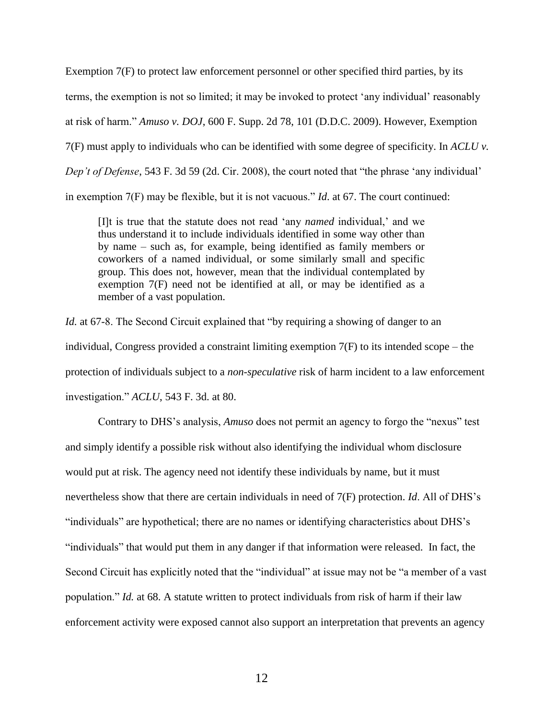Exemption 7(F) to protect law enforcement personnel or other specified third parties, by its terms, the exemption is not so limited; it may be invoked to protect 'any individual' reasonably at risk of harm." *Amuso v. DOJ*, 600 F. Supp. 2d 78, 101 (D.D.C. 2009). However, Exemption 7(F) must apply to individuals who can be identified with some degree of specificity. In *ACLU v. Dep't of Defense*, 543 F. 3d 59 (2d. Cir. 2008), the court noted that "the phrase 'any individual' in exemption 7(F) may be flexible, but it is not vacuous." *Id*. at 67. The court continued:

[I]t is true that the statute does not read 'any *named* individual,' and we thus understand it to include individuals identified in some way other than by name – such as, for example, being identified as family members or coworkers of a named individual, or some similarly small and specific group. This does not, however, mean that the individual contemplated by exemption 7(F) need not be identified at all, or may be identified as a member of a vast population.

*Id.* at 67-8. The Second Circuit explained that "by requiring a showing of danger to an individual, Congress provided a constraint limiting exemption 7(F) to its intended scope – the protection of individuals subject to a *non-speculative* risk of harm incident to a law enforcement investigation." *ACLU*, 543 F. 3d. at 80.

Contrary to DHS's analysis, *Amuso* does not permit an agency to forgo the "nexus" test and simply identify a possible risk without also identifying the individual whom disclosure would put at risk. The agency need not identify these individuals by name, but it must nevertheless show that there are certain individuals in need of 7(F) protection. *Id*. All of DHS's "individuals" are hypothetical; there are no names or identifying characteristics about DHS's "individuals" that would put them in any danger if that information were released. In fact, the Second Circuit has explicitly noted that the "individual" at issue may not be "a member of a vast population." *Id.* at 68. A statute written to protect individuals from risk of harm if their law enforcement activity were exposed cannot also support an interpretation that prevents an agency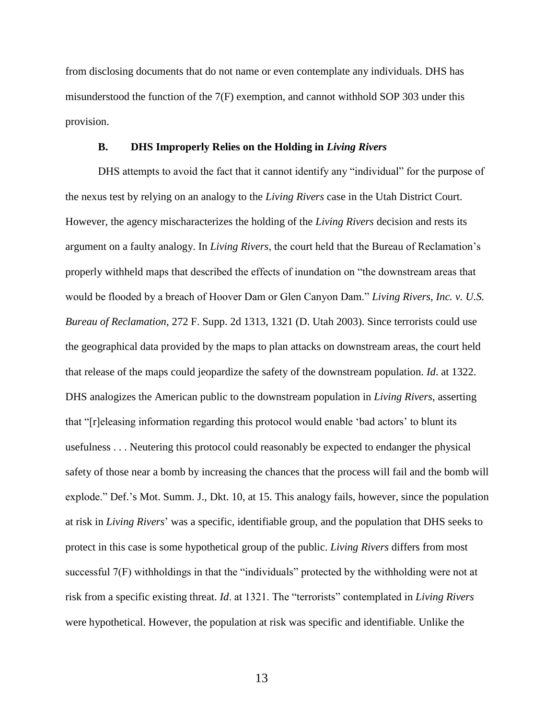from disclosing documents that do not name or even contemplate any individuals. DHS has misunderstood the function of the 7(F) exemption, and cannot withhold SOP 303 under this provision.

#### **B. DHS Improperly Relies on the Holding in** *Living Rivers*

DHS attempts to avoid the fact that it cannot identify any "individual" for the purpose of the nexus test by relying on an analogy to the *Living Rivers* case in the Utah District Court. However, the agency mischaracterizes the holding of the *Living Rivers* decision and rests its argument on a faulty analogy. In *Living Rivers*, the court held that the Bureau of Reclamation's properly withheld maps that described the effects of inundation on "the downstream areas that would be flooded by a breach of Hoover Dam or Glen Canyon Dam." *Living Rivers, Inc. v. U.S. Bureau of Reclamation*, 272 F. Supp. 2d 1313, 1321 (D. Utah 2003). Since terrorists could use the geographical data provided by the maps to plan attacks on downstream areas, the court held that release of the maps could jeopardize the safety of the downstream population. *Id*. at 1322. DHS analogizes the American public to the downstream population in *Living Rivers*, asserting that "[r]eleasing information regarding this protocol would enable 'bad actors' to blunt its usefulness . . . Neutering this protocol could reasonably be expected to endanger the physical safety of those near a bomb by increasing the chances that the process will fail and the bomb will explode." Def.'s Mot. Summ. J., Dkt. 10, at 15. This analogy fails, however, since the population at risk in *Living Rivers*' was a specific, identifiable group, and the population that DHS seeks to protect in this case is some hypothetical group of the public. *Living Rivers* differs from most successful 7(F) withholdings in that the "individuals" protected by the withholding were not at risk from a specific existing threat. *Id*. at 1321. The "terrorists" contemplated in *Living Rivers* were hypothetical. However, the population at risk was specific and identifiable. Unlike the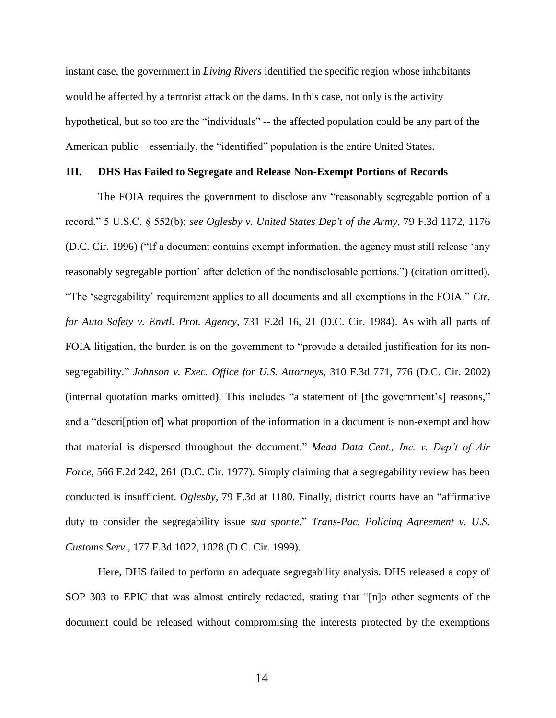instant case, the government in *Living Rivers* identified the specific region whose inhabitants would be affected by a terrorist attack on the dams. In this case, not only is the activity hypothetical, but so too are the "individuals" -- the affected population could be any part of the American public – essentially, the "identified" population is the entire United States.

#### **III. DHS Has Failed to Segregate and Release Non-Exempt Portions of Records**

The FOIA requires the government to disclose any "reasonably segregable portion of a record." 5 U.S.C. § 552(b); *see Oglesby v. United States Dep't of the Army*, 79 F.3d 1172, 1176 (D.C. Cir. 1996) ("If a document contains exempt information, the agency must still release 'any reasonably segregable portion' after deletion of the nondisclosable portions.") (citation omitted). "The 'segregability' requirement applies to all documents and all exemptions in the FOIA." *Ctr. for Auto Safety v. Envtl. Prot. Agency*, 731 F.2d 16, 21 (D.C. Cir. 1984). As with all parts of FOIA litigation, the burden is on the government to "provide a detailed justification for its nonsegregability." *Johnson v. Exec. Office for U.S. Attorneys*, 310 F.3d 771, 776 (D.C. Cir. 2002) (internal quotation marks omitted). This includes "a statement of [the government's] reasons," and a "descri[ption of] what proportion of the information in a document is non-exempt and how that material is dispersed throughout the document." *Mead Data Cent., Inc. v. Dep't of Air Force*, 566 F.2d 242, 261 (D.C. Cir. 1977). Simply claiming that a segregability review has been conducted is insufficient. *Oglesby*, 79 F.3d at 1180. Finally, district courts have an "affirmative duty to consider the segregability issue *sua sponte*." *Trans-Pac. Policing Agreement v. U.S. Customs Serv.*, 177 F.3d 1022, 1028 (D.C. Cir. 1999).

Here, DHS failed to perform an adequate segregability analysis. DHS released a copy of SOP 303 to EPIC that was almost entirely redacted, stating that "[n]o other segments of the document could be released without compromising the interests protected by the exemptions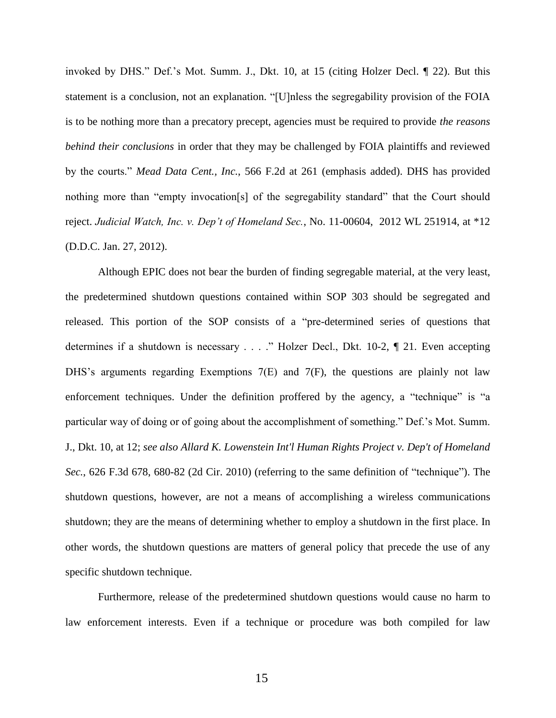invoked by DHS." Def.'s Mot. Summ. J., Dkt. 10, at 15 (citing Holzer Decl. ¶ 22). But this statement is a conclusion, not an explanation. "[U]nless the segregability provision of the FOIA is to be nothing more than a precatory precept, agencies must be required to provide *the reasons behind their conclusions* in order that they may be challenged by FOIA plaintiffs and reviewed by the courts." *Mead Data Cent., Inc.*, 566 F.2d at 261 (emphasis added). DHS has provided nothing more than "empty invocation[s] of the segregability standard" that the Court should reject. *Judicial Watch, Inc. v. Dep't of Homeland Sec.*, No. 11-00604, 2012 WL 251914, at \*12 (D.D.C. Jan. 27, 2012).

Although EPIC does not bear the burden of finding segregable material, at the very least, the predetermined shutdown questions contained within SOP 303 should be segregated and released. This portion of the SOP consists of a "pre-determined series of questions that determines if a shutdown is necessary . . . ." Holzer Decl., Dkt. 10-2, ¶ 21. Even accepting DHS's arguments regarding Exemptions 7(E) and 7(F), the questions are plainly not law enforcement techniques. Under the definition proffered by the agency, a "technique" is "a particular way of doing or of going about the accomplishment of something." Def.'s Mot. Summ. J., Dkt. 10, at 12; *see also Allard K. Lowenstein Int'l Human Rights Project v. Dep't of Homeland Sec.*, 626 F.3d 678, 680-82 (2d Cir. 2010) (referring to the same definition of "technique"). The shutdown questions, however, are not a means of accomplishing a wireless communications shutdown; they are the means of determining whether to employ a shutdown in the first place. In other words, the shutdown questions are matters of general policy that precede the use of any specific shutdown technique.

Furthermore, release of the predetermined shutdown questions would cause no harm to law enforcement interests. Even if a technique or procedure was both compiled for law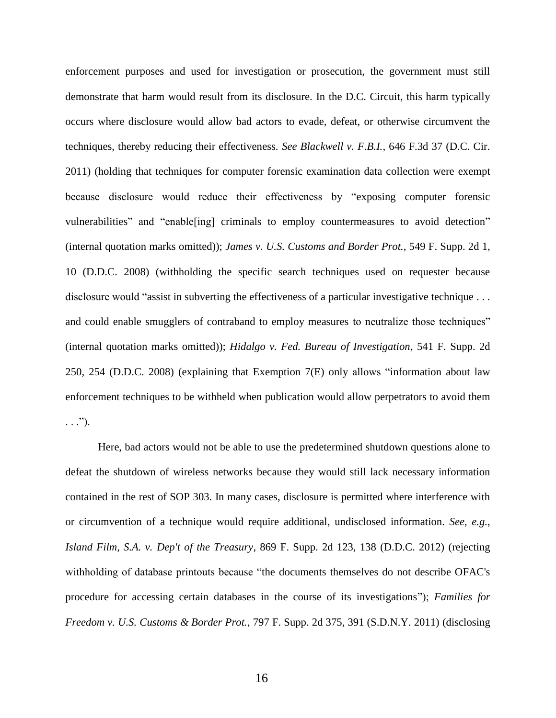enforcement purposes and used for investigation or prosecution, the government must still demonstrate that harm would result from its disclosure. In the D.C. Circuit, this harm typically occurs where disclosure would allow bad actors to evade, defeat, or otherwise circumvent the techniques, thereby reducing their effectiveness. *See Blackwell v. F.B.I.*, 646 F.3d 37 (D.C. Cir. 2011) (holding that techniques for computer forensic examination data collection were exempt because disclosure would reduce their effectiveness by "exposing computer forensic vulnerabilities" and "enable[ing] criminals to employ countermeasures to avoid detection" (internal quotation marks omitted)); *James v. U.S. Customs and Border Prot.*, 549 F. Supp. 2d 1, 10 (D.D.C. 2008) (withholding the specific search techniques used on requester because disclosure would "assist in subverting the effectiveness of a particular investigative technique . . . and could enable smugglers of contraband to employ measures to neutralize those techniques" (internal quotation marks omitted)); *Hidalgo v. Fed. Bureau of Investigation*, 541 F. Supp. 2d 250, 254 (D.D.C. 2008) (explaining that Exemption 7(E) only allows "information about law enforcement techniques to be withheld when publication would allow perpetrators to avoid them  $\ldots$ .").

Here, bad actors would not be able to use the predetermined shutdown questions alone to defeat the shutdown of wireless networks because they would still lack necessary information contained in the rest of SOP 303. In many cases, disclosure is permitted where interference with or circumvention of a technique would require additional, undisclosed information. *See, e.g.*, *Island Film, S.A. v. Dep't of the Treasury*, 869 F. Supp. 2d 123, 138 (D.D.C. 2012) (rejecting withholding of database printouts because "the documents themselves do not describe OFAC's procedure for accessing certain databases in the course of its investigations"); *Families for Freedom v. U.S. Customs & Border Prot.*, 797 F. Supp. 2d 375, 391 (S.D.N.Y. 2011) (disclosing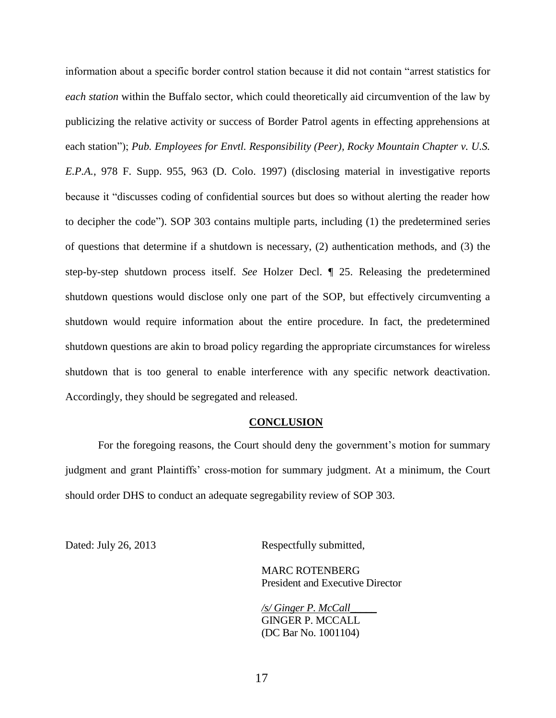information about a specific border control station because it did not contain "arrest statistics for *each station* within the Buffalo sector, which could theoretically aid circumvention of the law by publicizing the relative activity or success of Border Patrol agents in effecting apprehensions at each station"); *Pub. Employees for Envtl. Responsibility (Peer), Rocky Mountain Chapter v. U.S. E.P.A.*, 978 F. Supp. 955, 963 (D. Colo. 1997) (disclosing material in investigative reports because it "discusses coding of confidential sources but does so without alerting the reader how to decipher the code"). SOP 303 contains multiple parts, including (1) the predetermined series of questions that determine if a shutdown is necessary, (2) authentication methods, and (3) the step-by-step shutdown process itself. *See* Holzer Decl. ¶ 25. Releasing the predetermined shutdown questions would disclose only one part of the SOP, but effectively circumventing a shutdown would require information about the entire procedure. In fact, the predetermined shutdown questions are akin to broad policy regarding the appropriate circumstances for wireless shutdown that is too general to enable interference with any specific network deactivation. Accordingly, they should be segregated and released.

#### **CONCLUSION**

For the foregoing reasons, the Court should deny the government's motion for summary judgment and grant Plaintiffs' cross-motion for summary judgment. At a minimum, the Court should order DHS to conduct an adequate segregability review of SOP 303.

Dated: July 26, 2013 Respectfully submitted,

MARC ROTENBERG President and Executive Director

*/s/ Ginger P. McCall*\_\_\_\_\_ GINGER P. MCCALL (DC Bar No. 1001104)